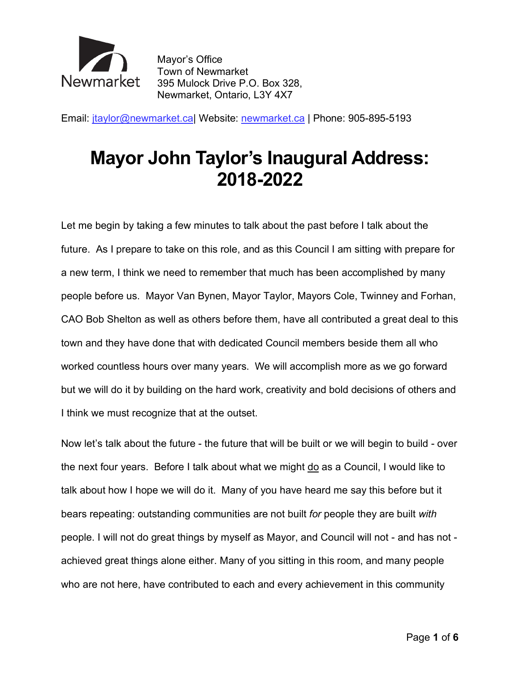

 Town of Newmarket 395 Mulock Drive P.O. Box 328, Newmarket, Ontario, L3Y 4X7 Mayor's Office

Email: [jtaylor@newmarket.ca|](mailto:jtaylor@newmarket.ca) Website: [newmarket.ca](https://newmarket.ca) | Phone: 905-895-5193

## **Mayor John Taylor's Inaugural Address: 2018-2022**

 Let me begin by taking a few minutes to talk about the past before I talk about the future. As I prepare to take on this role, and as this Council I am sitting with prepare for a new term, I think we need to remember that much has been accomplished by many people before us. Mayor Van Bynen, Mayor Taylor, Mayors Cole, Twinney and Forhan, CAO Bob Shelton as well as others before them, have all contributed a great deal to this town and they have done that with dedicated Council members beside them all who worked countless hours over many years. We will accomplish more as we go forward but we will do it by building on the hard work, creativity and bold decisions of others and I think we must recognize that at the outset.

 Now let's talk about the future - the future that will be built or we will begin to build - over the next four years. Before I talk about what we might do as a Council, I would like to talk about how I hope we will do it. Many of you have heard me say this before but it bears repeating: outstanding communities are not built *for* people they are built *with*  people. I will not do great things by myself as Mayor, and Council will not - and has not - achieved great things alone either. Many of you sitting in this room, and many people who are not here, have contributed to each and every achievement in this community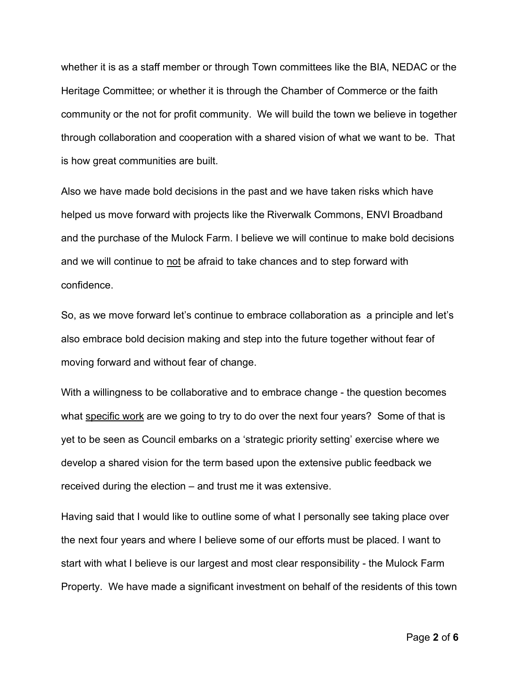whether it is as a staff member or through Town committees like the BIA, NEDAC or the Heritage Committee; or whether it is through the Chamber of Commerce or the faith community or the not for profit community. We will build the town we believe in together through collaboration and cooperation with a shared vision of what we want to be. That is how great communities are built.

Also we have made bold decisions in the past and we have taken risks which have helped us move forward with projects like the Riverwalk Commons, ENVI Broadband and the purchase of the Mulock Farm. I believe we will continue to make bold decisions and we will continue to not be afraid to take chances and to step forward with confidence.

So, as we move forward let's continue to embrace collaboration as a principle and let's also embrace bold decision making and step into the future together without fear of moving forward and without fear of change.

With a willingness to be collaborative and to embrace change - the question becomes what specific work are we going to try to do over the next four years? Some of that is yet to be seen as Council embarks on a 'strategic priority setting' exercise where we develop a shared vision for the term based upon the extensive public feedback we received during the election – and trust me it was extensive.

Having said that I would like to outline some of what I personally see taking place over the next four years and where I believe some of our efforts must be placed. I want to start with what I believe is our largest and most clear responsibility - the Mulock Farm Property. We have made a significant investment on behalf of the residents of this town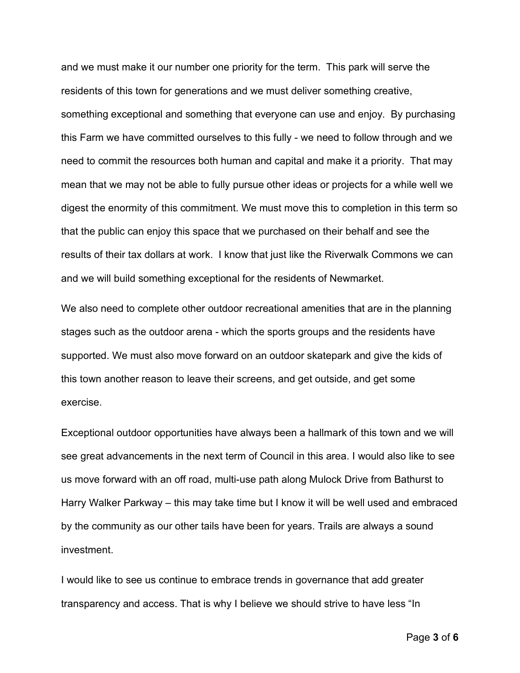and we must make it our number one priority for the term. This park will serve the residents of this town for generations and we must deliver something creative, something exceptional and something that everyone can use and enjoy. By purchasing this Farm we have committed ourselves to this fully - we need to follow through and we need to commit the resources both human and capital and make it a priority. That may mean that we may not be able to fully pursue other ideas or projects for a while well we digest the enormity of this commitment. We must move this to completion in this term so that the public can enjoy this space that we purchased on their behalf and see the results of their tax dollars at work. I know that just like the Riverwalk Commons we can and we will build something exceptional for the residents of Newmarket.

We also need to complete other outdoor recreational amenities that are in the planning stages such as the outdoor arena - which the sports groups and the residents have supported. We must also move forward on an outdoor skatepark and give the kids of this town another reason to leave their screens, and get outside, and get some exercise.

Exceptional outdoor opportunities have always been a hallmark of this town and we will see great advancements in the next term of Council in this area. I would also like to see us move forward with an off road, multi-use path along Mulock Drive from Bathurst to Harry Walker Parkway – this may take time but I know it will be well used and embraced by the community as our other tails have been for years. Trails are always a sound investment.

I would like to see us continue to embrace trends in governance that add greater transparency and access. That is why I believe we should strive to have less "In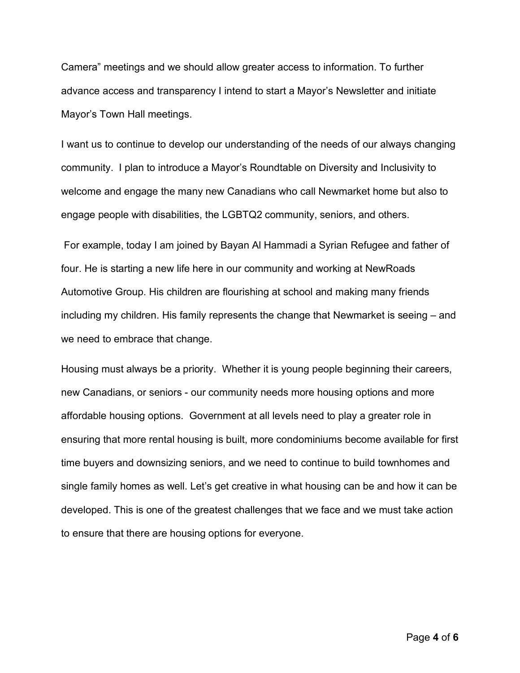Camera" meetings and we should allow greater access to information. To further advance access and transparency I intend to start a Mayor's Newsletter and initiate Mayor's Town Hall meetings.

I want us to continue to develop our understanding of the needs of our always changing community. I plan to introduce a Mayor's Roundtable on Diversity and Inclusivity to welcome and engage the many new Canadians who call Newmarket home but also to engage people with disabilities, the LGBTQ2 community, seniors, and others.

For example, today I am joined by Bayan Al Hammadi a Syrian Refugee and father of four. He is starting a new life here in our community and working at NewRoads Automotive Group. His children are flourishing at school and making many friends including my children. His family represents the change that Newmarket is seeing – and we need to embrace that change.

Housing must always be a priority. Whether it is young people beginning their careers, new Canadians, or seniors - our community needs more housing options and more affordable housing options. Government at all levels need to play a greater role in ensuring that more rental housing is built, more condominiums become available for first time buyers and downsizing seniors, and we need to continue to build townhomes and single family homes as well. Let's get creative in what housing can be and how it can be developed. This is one of the greatest challenges that we face and we must take action to ensure that there are housing options for everyone.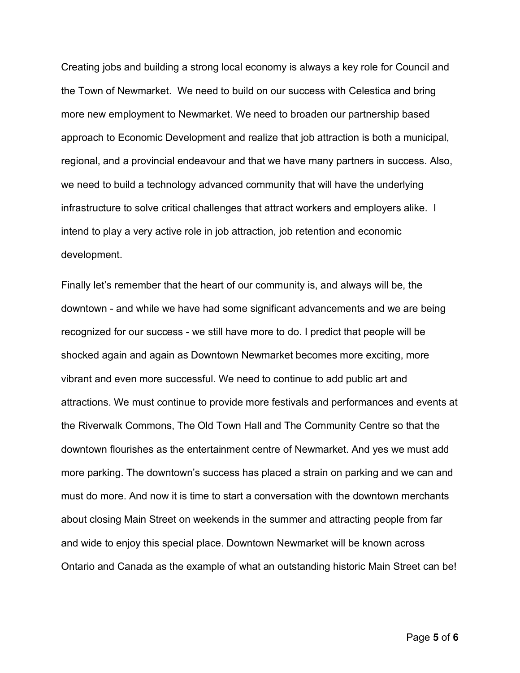Creating jobs and building a strong local economy is always a key role for Council and the Town of Newmarket. We need to build on our success with Celestica and bring more new employment to Newmarket. We need to broaden our partnership based approach to Economic Development and realize that job attraction is both a municipal, regional, and a provincial endeavour and that we have many partners in success. Also, we need to build a technology advanced community that will have the underlying infrastructure to solve critical challenges that attract workers and employers alike. I intend to play a very active role in job attraction, job retention and economic development.

Finally let's remember that the heart of our community is, and always will be, the downtown - and while we have had some significant advancements and we are being recognized for our success - we still have more to do. I predict that people will be shocked again and again as Downtown Newmarket becomes more exciting, more vibrant and even more successful. We need to continue to add public art and attractions. We must continue to provide more festivals and performances and events at the Riverwalk Commons, The Old Town Hall and The Community Centre so that the downtown flourishes as the entertainment centre of Newmarket. And yes we must add more parking. The downtown's success has placed a strain on parking and we can and must do more. And now it is time to start a conversation with the downtown merchants about closing Main Street on weekends in the summer and attracting people from far and wide to enjoy this special place. Downtown Newmarket will be known across Ontario and Canada as the example of what an outstanding historic Main Street can be!